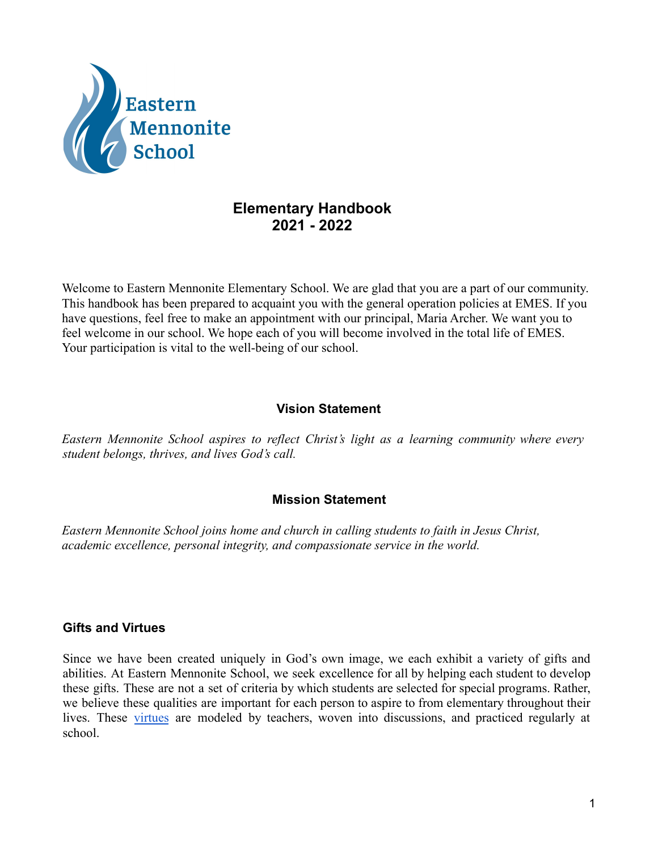

## **Elementary Handbook 2021 - 2022**

Welcome to Eastern Mennonite Elementary School. We are glad that you are a part of our community. This handbook has been prepared to acquaint you with the general operation policies at EMES. If you have questions, feel free to make an appointment with our principal, Maria Archer. We want you to feel welcome in our school. We hope each of you will become involved in the total life of EMES. Your participation is vital to the well-being of our school.

## **Vision Statement**

*Eastern Mennonite School aspires to reflect Christ's light as a learning community where every student belongs, thrives, and lives God's call.*

## **Mission Statement**

*Eastern Mennonite School joins home and church in calling students to faith in Jesus Christ, academic excellence, personal integrity, and compassionate service in the world.*

#### **Gifts and Virtues**

Since we have been created uniquely in God's own image, we each exhibit a variety of gifts and abilities. At Eastern Mennonite School, we seek excellence for all by helping each student to develop these gifts. These are not a set of criteria by which students are selected for special programs. Rather, we believe these qualities are important for each person to aspire to from elementary throughout their lives. These [virtues](https://virtuesproject.com/) are modeled by teachers, woven into discussions, and practiced regularly at school.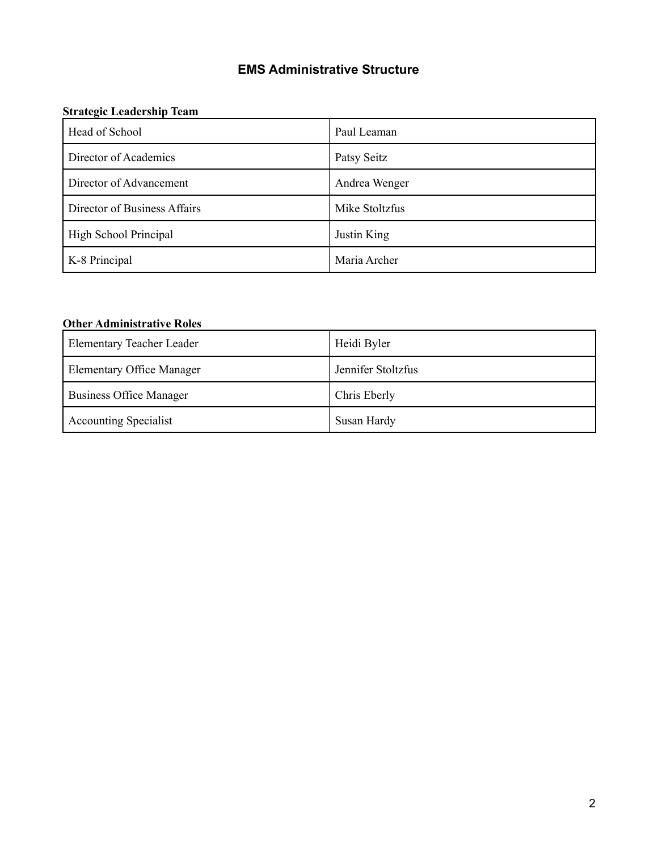# **EMS Administrative Structure**

#### **Strategic Leadership Team**

| Head of School               | Paul Leaman    |
|------------------------------|----------------|
| Director of Academics        | Patsy Seitz    |
| Director of Advancement      | Andrea Wenger  |
| Director of Business Affairs | Mike Stoltzfus |
| High School Principal        | Justin King    |
| K-8 Principal                | Maria Archer   |

## **Other Administrative Roles**

| <b>Elementary Teacher Leader</b> | Heidi Byler        |
|----------------------------------|--------------------|
| <b>Elementary Office Manager</b> | Jennifer Stoltzfus |
| <b>Business Office Manager</b>   | Chris Eberly       |
| <b>Accounting Specialist</b>     | Susan Hardy        |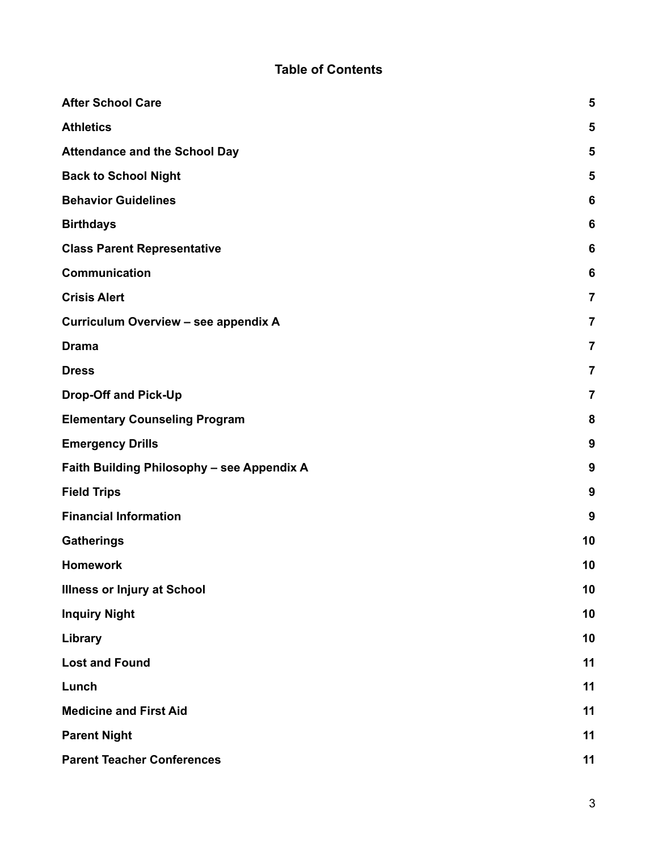# **Table of Contents**

| <b>After School Care</b>                   | 5                       |
|--------------------------------------------|-------------------------|
| <b>Athletics</b>                           | 5                       |
| <b>Attendance and the School Day</b>       | 5                       |
| <b>Back to School Night</b>                | 5                       |
| <b>Behavior Guidelines</b>                 | 6                       |
| <b>Birthdays</b>                           | 6                       |
| <b>Class Parent Representative</b>         | 6                       |
| Communication                              | 6                       |
| <b>Crisis Alert</b>                        | $\overline{\mathbf{7}}$ |
| Curriculum Overview - see appendix A       | $\overline{7}$          |
| <b>Drama</b>                               | $\overline{\mathbf{7}}$ |
| <b>Dress</b>                               | $\overline{7}$          |
| <b>Drop-Off and Pick-Up</b>                | $\overline{7}$          |
| <b>Elementary Counseling Program</b>       | 8                       |
| <b>Emergency Drills</b>                    | 9                       |
| Faith Building Philosophy - see Appendix A | 9                       |
| <b>Field Trips</b>                         | 9                       |
| <b>Financial Information</b>               | 9                       |
| <b>Gatherings</b>                          | 10                      |
| <b>Homework</b>                            | 10                      |
| <b>Illness or Injury at School</b>         | 10                      |
| <b>Inquiry Night</b>                       | 10                      |
| Library                                    | 10                      |
| <b>Lost and Found</b>                      | 11                      |
| Lunch                                      | 11                      |
| <b>Medicine and First Aid</b>              | 11                      |
| <b>Parent Night</b>                        | 11                      |
| <b>Parent Teacher Conferences</b>          | 11                      |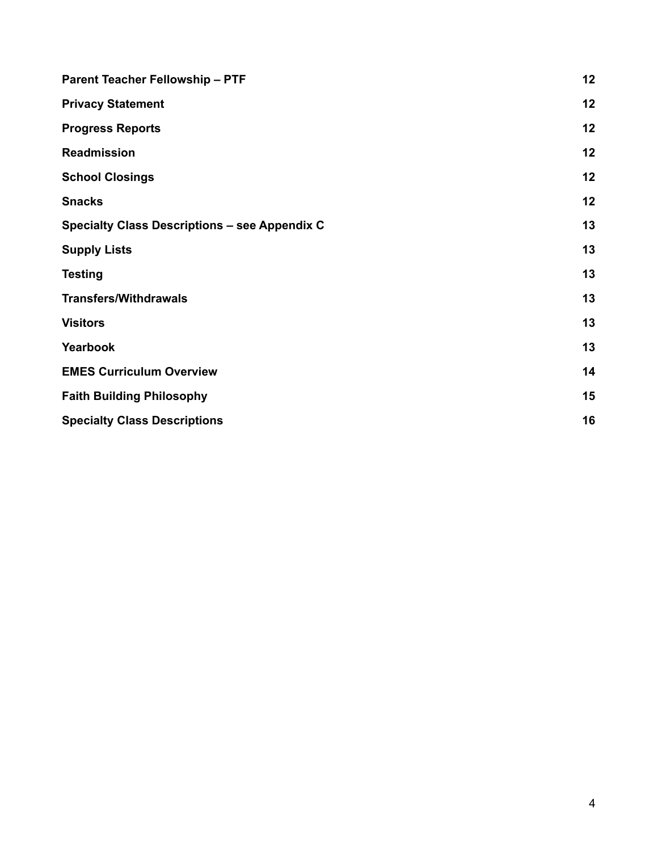| <b>Parent Teacher Fellowship - PTF</b>               | 12 |
|------------------------------------------------------|----|
| <b>Privacy Statement</b>                             | 12 |
| <b>Progress Reports</b>                              | 12 |
| <b>Readmission</b>                                   | 12 |
| <b>School Closings</b>                               | 12 |
| <b>Snacks</b>                                        | 12 |
| <b>Specialty Class Descriptions - see Appendix C</b> | 13 |
| <b>Supply Lists</b>                                  | 13 |
| <b>Testing</b>                                       | 13 |
| <b>Transfers/Withdrawals</b>                         | 13 |
| <b>Visitors</b>                                      | 13 |
| Yearbook                                             | 13 |
| <b>EMES Curriculum Overview</b>                      | 14 |
| <b>Faith Building Philosophy</b>                     | 15 |
| <b>Specialty Class Descriptions</b>                  | 16 |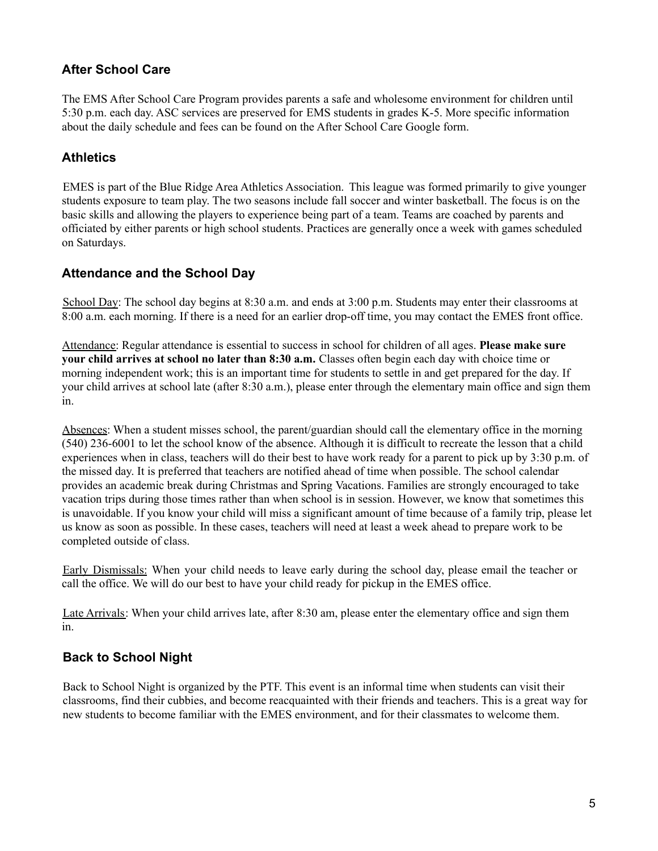## <span id="page-4-0"></span>**After School Care**

The EMS After School Care Program provides parents a safe and wholesome environment for children until 5:30 p.m. each day. ASC services are preserved for EMS students in grades K-5. More specific information about the daily schedule and fees can be found on the After School Care Google form.

## <span id="page-4-1"></span>**Athletics**

EMES is part of the Blue Ridge Area Athletics Association. This league was formed primarily to give younger students exposure to team play. The two seasons include fall soccer and winter basketball. The focus is on the basic skills and allowing the players to experience being part of a team. Teams are coached by parents and officiated by either parents or high school students. Practices are generally once a week with games scheduled on Saturdays.

## <span id="page-4-2"></span>**Attendance and the School Day**

School Day: The school day begins at 8:30 a.m. and ends at 3:00 p.m. Students may enter their classrooms at 8:00 a.m. each morning. If there is a need for an earlier drop-off time, you may contact the EMES front office.

Attendance: Regular attendance is essential to success in school for children of all ages. **Please make sure your child arrives at school no later than 8:30 a.m.** Classes often begin each day with choice time or morning independent work; this is an important time for students to settle in and get prepared for the day. If your child arrives at school late (after 8:30 a.m.), please enter through the elementary main office and sign them in.

Absences: When a student misses school, the parent/guardian should call the elementary office in the morning (540) 236-6001 to let the school know of the absence. Although it is difficult to recreate the lesson that a child experiences when in class, teachers will do their best to have work ready for a parent to pick up by 3:30 p.m. of the missed day. It is preferred that teachers are notified ahead of time when possible. The school calendar provides an academic break during Christmas and Spring Vacations. Families are strongly encouraged to take vacation trips during those times rather than when school is in session. However, we know that sometimes this is unavoidable. If you know your child will miss a significant amount of time because of a family trip, please let us know as soon as possible. In these cases, teachers will need at least a week ahead to prepare work to be completed outside of class.

Early Dismissals: When your child needs to leave early during the school day, please email the teacher or call the office. We will do our best to have your child ready for pickup in the EMES office.

Late Arrivals: When your child arrives late, after 8:30 am, please enter the elementary office and sign them in.

#### <span id="page-4-3"></span>**Back to School Night**

Back to School Night is organized by the PTF. This event is an informal time when students can visit their classrooms, find their cubbies, and become reacquainted with their friends and teachers. This is a great way for new students to become familiar with the EMES environment, and for their classmates to welcome them.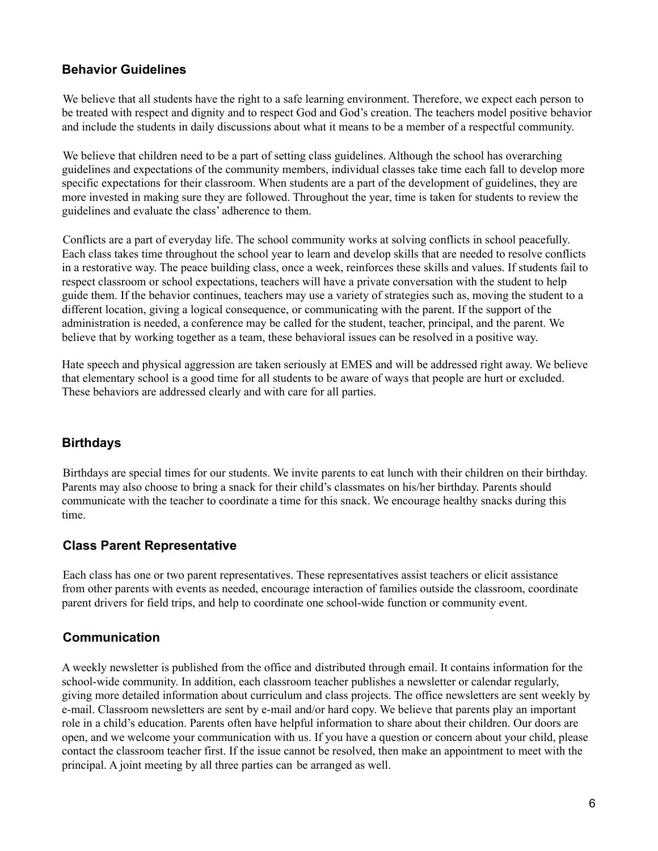## <span id="page-5-0"></span>**Behavior Guidelines**

We believe that all students have the right to a safe learning environment. Therefore, we expect each person to be treated with respect and dignity and to respect God and God's creation. The teachers model positive behavior and include the students in daily discussions about what it means to be a member of a respectful community.

We believe that children need to be a part of setting class guidelines. Although the school has overarching guidelines and expectations of the community members, individual classes take time each fall to develop more specific expectations for their classroom. When students are a part of the development of guidelines, they are more invested in making sure they are followed. Throughout the year, time is taken for students to review the guidelines and evaluate the class' adherence to them.

Conflicts are a part of everyday life. The school community works at solving conflicts in school peacefully. Each class takes time throughout the school year to learn and develop skills that are needed to resolve conflicts in a restorative way. The peace building class, once a week, reinforces these skills and values. If students fail to respect classroom or school expectations, teachers will have a private conversation with the student to help guide them. If the behavior continues, teachers may use a variety of strategies such as, moving the student to a different location, giving a logical consequence, or communicating with the parent. If the support of the administration is needed, a conference may be called for the student, teacher, principal, and the parent. We believe that by working together as a team, these behavioral issues can be resolved in a positive way.

Hate speech and physical aggression are taken seriously at EMES and will be addressed right away. We believe that elementary school is a good time for all students to be aware of ways that people are hurt or excluded. These behaviors are addressed clearly and with care for all parties.

## <span id="page-5-1"></span>**Birthdays**

Birthdays are special times for our students. We invite parents to eat lunch with their children on their birthday. Parents may also choose to bring a snack for their child's classmates on his/her birthday. Parents should communicate with the teacher to coordinate a time for this snack. We encourage healthy snacks during this time.

#### <span id="page-5-2"></span>**Class Parent Representative**

Each class has one or two parent representatives. These representatives assist teachers or elicit assistance from other parents with events as needed, encourage interaction of families outside the classroom, coordinate parent drivers for field trips, and help to coordinate one school-wide function or community event.

## <span id="page-5-3"></span>**Communication**

A weekly newsletter is published from the office and distributed through email. It contains information for the school-wide community. In addition, each classroom teacher publishes a newsletter or calendar regularly, giving more detailed information about curriculum and class projects. The office newsletters are sent weekly by e-mail. Classroom newsletters are sent by e-mail and/or hard copy. We believe that parents play an important role in a child's education. Parents often have helpful information to share about their children. Our doors are open, and we welcome your communication with us. If you have a question or concern about your child, please contact the classroom teacher first. If the issue cannot be resolved, then make an appointment to meet with the principal. A joint meeting by all three parties can be arranged as well.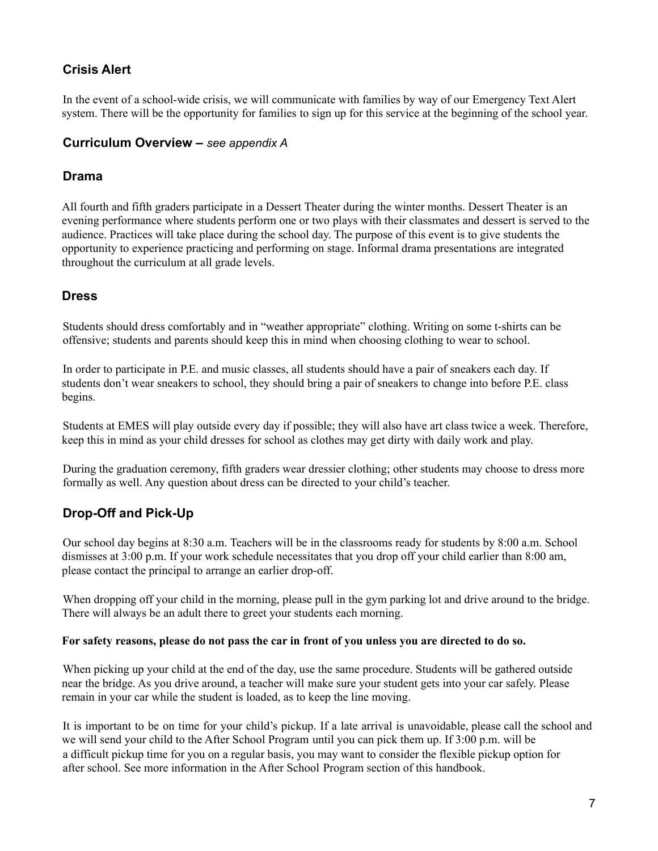## <span id="page-6-0"></span>**Crisis Alert**

In the event of a school-wide crisis, we will communicate with families by way of our Emergency Text Alert system. There will be the opportunity for families to sign up for this service at the beginning of the school year.

#### <span id="page-6-1"></span>**Curriculum Overview –** *see appendix A*

## <span id="page-6-2"></span>**Drama**

All fourth and fifth graders participate in a Dessert Theater during the winter months. Dessert Theater is an evening performance where students perform one or two plays with their classmates and dessert is served to the audience. Practices will take place during the school day. The purpose of this event is to give students the opportunity to experience practicing and performing on stage. Informal drama presentations are integrated throughout the curriculum at all grade levels.

## <span id="page-6-3"></span>**Dress**

Students should dress comfortably and in "weather appropriate" clothing. Writing on some t-shirts can be offensive; students and parents should keep this in mind when choosing clothing to wear to school.

In order to participate in P.E. and music classes, all students should have a pair of sneakers each day. If students don't wear sneakers to school, they should bring a pair of sneakers to change into before P.E. class begins.

Students at EMES will play outside every day if possible; they will also have art class twice a week. Therefore, keep this in mind as your child dresses for school as clothes may get dirty with daily work and play.

During the graduation ceremony, fifth graders wear dressier clothing; other students may choose to dress more formally as well. Any question about dress can be directed to your child's teacher.

## <span id="page-6-4"></span>**Drop-Off and Pick-Up**

Our school day begins at 8:30 a.m. Teachers will be in the classrooms ready for students by 8:00 a.m. School dismisses at 3:00 p.m. If your work schedule necessitates that you drop off your child earlier than 8:00 am, please contact the principal to arrange an earlier drop-off.

When dropping off your child in the morning, please pull in the gym parking lot and drive around to the bridge. There will always be an adult there to greet your students each morning.

#### For safety reasons, please do not pass the car in front of you unless you are directed to do so.

When picking up your child at the end of the day, use the same procedure. Students will be gathered outside near the bridge. As you drive around, a teacher will make sure your student gets into your car safely. Please remain in your car while the student is loaded, as to keep the line moving.

It is important to be on time for your child's pickup. If a late arrival is unavoidable, please call the school and we will send your child to the After School Program until you can pick them up. If 3:00 p.m. will be a difficult pickup time for you on a regular basis, you may want to consider the flexible pickup option for after school. See more information in the After School Program section of this handbook.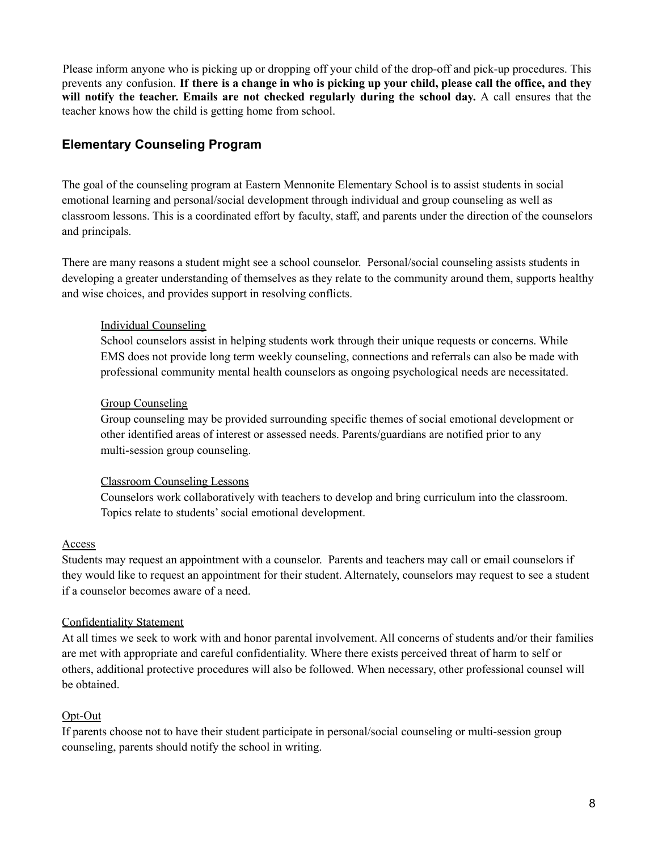Please inform anyone who is picking up or dropping off your child of the drop-off and pick-up procedures. This prevents any confusion. If there is a change in who is picking up your child, please call the office, and they **will notify the teacher. Emails are not checked regularly during the school day.** A call ensures that the teacher knows how the child is getting home from school.

#### <span id="page-7-0"></span>**Elementary Counseling Program**

The goal of the counseling program at Eastern Mennonite Elementary School is to assist students in social emotional learning and personal/social development through individual and group counseling as well as classroom lessons. This is a coordinated effort by faculty, staff, and parents under the direction of the counselors and principals.

There are many reasons a student might see a school counselor. Personal/social counseling assists students in developing a greater understanding of themselves as they relate to the community around them, supports healthy and wise choices, and provides support in resolving conflicts.

#### Individual Counseling

School counselors assist in helping students work through their unique requests or concerns. While EMS does not provide long term weekly counseling, connections and referrals can also be made with professional community mental health counselors as ongoing psychological needs are necessitated.

#### Group Counseling

Group counseling may be provided surrounding specific themes of social emotional development or other identified areas of interest or assessed needs. Parents/guardians are notified prior to any multi-session group counseling.

#### Classroom Counseling Lessons

Counselors work collaboratively with teachers to develop and bring curriculum into the classroom. Topics relate to students'social emotional development.

#### Access

Students may request an appointment with a counselor. Parents and teachers may call or email counselors if they would like to request an appointment for their student. Alternately, counselors may request to see a student if a counselor becomes aware of a need.

#### Confidentiality Statement

At all times we seek to work with and honor parental involvement. All concerns of students and/or their families are met with appropriate and careful confidentiality. Where there exists perceived threat of harm to self or others, additional protective procedures will also be followed. When necessary, other professional counsel will be obtained.

#### Opt-Out

If parents choose not to have their student participate in personal/social counseling or multi-session group counseling, parents should notify the school in writing.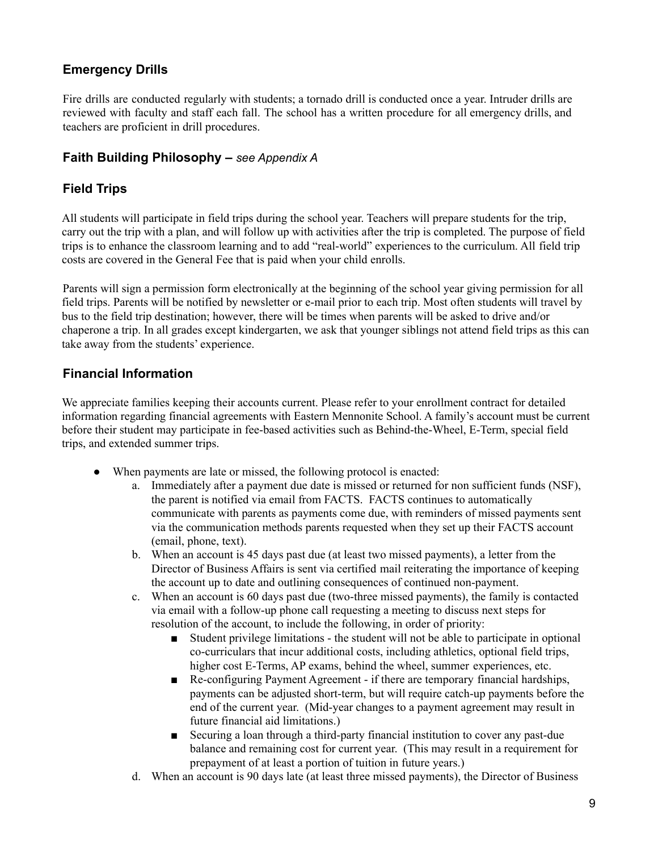## <span id="page-8-0"></span>**Emergency Drills**

Fire drills are conducted regularly with students; a tornado drill is conducted once a year. Intruder drills are reviewed with faculty and staff each fall. The school has a written procedure for all emergency drills, and teachers are proficient in drill procedures.

#### <span id="page-8-1"></span>**Faith Building Philosophy –** *see Appendix A*

## <span id="page-8-2"></span>**Field Trips**

All students will participate in field trips during the school year. Teachers will prepare students for the trip, carry out the trip with a plan, and will follow up with activities after the trip is completed. The purpose of field trips is to enhance the classroom learning and to add "real-world" experiences to the curriculum. All field trip costs are covered in the General Fee that is paid when your child enrolls.

Parents will sign a permission form electronically at the beginning of the school year giving permission for all field trips. Parents will be notified by newsletter or e-mail prior to each trip. Most often students will travel by bus to the field trip destination; however, there will be times when parents will be asked to drive and/or chaperone a trip. In all grades except kindergarten, we ask that younger siblings not attend field trips as this can take away from the students' experience.

## <span id="page-8-3"></span>**Financial Information**

We appreciate families keeping their accounts current. Please refer to your enrollment contract for detailed information regarding financial agreements with Eastern Mennonite School. A family's account must be current before their student may participate in fee-based activities such as Behind-the-Wheel, E-Term, special field trips, and extended summer trips.

- When payments are late or missed, the following protocol is enacted:
	- a. Immediately after a payment due date is missed or returned for non sufficient funds (NSF), the parent is notified via email from FACTS. FACTS continues to automatically communicate with parents as payments come due, with reminders of missed payments sent via the communication methods parents requested when they set up their FACTS account (email, phone, text).
	- b. When an account is 45 days past due (at least two missed payments), a letter from the Director of Business Affairs is sent via certified mail reiterating the importance of keeping the account up to date and outlining consequences of continued non-payment.
	- c. When an account is 60 days past due (two-three missed payments), the family is contacted via email with a follow-up phone call requesting a meeting to discuss next steps for resolution of the account, to include the following, in order of priority:
		- Student privilege limitations the student will not be able to participate in optional co-curriculars that incur additional costs, including athletics, optional field trips, higher cost E-Terms, AP exams, behind the wheel, summer experiences, etc.
		- Re-configuring Payment Agreement if there are temporary financial hardships, payments can be adjusted short-term, but will require catch-up payments before the end of the current year. (Mid-year changes to a payment agreement may result in future financial aid limitations.)
		- Securing a loan through a third-party financial institution to cover any past-due balance and remaining cost for current year. (This may result in a requirement for prepayment of at least a portion of tuition in future years.)
	- d. When an account is 90 days late (at least three missed payments), the Director of Business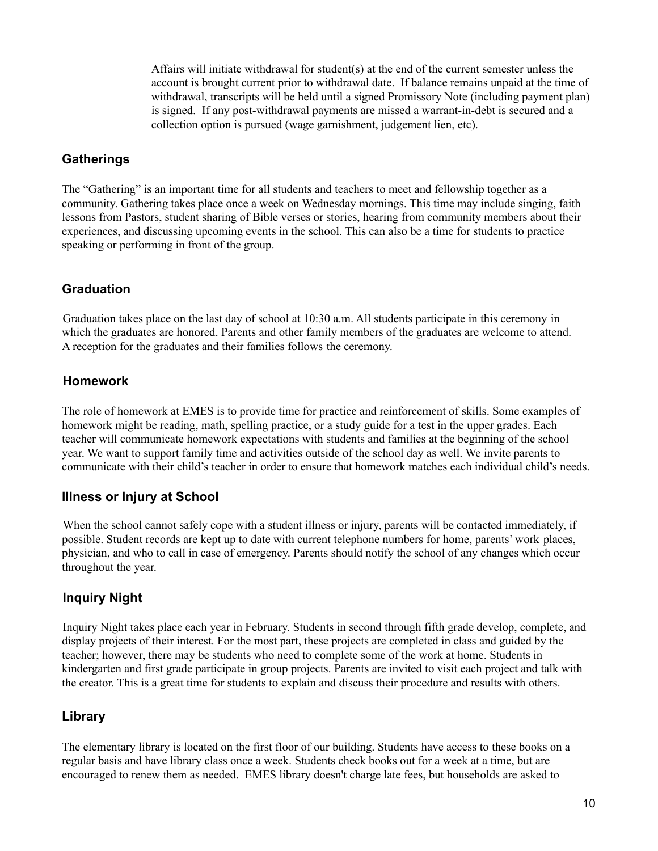Affairs will initiate withdrawal for student(s) at the end of the current semester unless the account is brought current prior to withdrawal date. If balance remains unpaid at the time of withdrawal, transcripts will be held until a signed Promissory Note (including payment plan) is signed. If any post-withdrawal payments are missed a warrant-in-debt is secured and a collection option is pursued (wage garnishment, judgement lien, etc).

#### <span id="page-9-0"></span>**Gatherings**

The "Gathering" is an important time for all students and teachers to meet and fellowship together as a community. Gathering takes place once a week on Wednesday mornings. This time may include singing, faith lessons from Pastors, student sharing of Bible verses or stories, hearing from community members about their experiences, and discussing upcoming events in the school. This can also be a time for students to practice speaking or performing in front of the group.

## **Graduation**

Graduation takes place on the last day of school at 10:30 a.m. All students participate in this ceremony in which the graduates are honored. Parents and other family members of the graduates are welcome to attend. A reception for the graduates and their families follows the ceremony.

## <span id="page-9-1"></span>**Homework**

The role of homework at EMES is to provide time for practice and reinforcement of skills. Some examples of homework might be reading, math, spelling practice, or a study guide for a test in the upper grades. Each teacher will communicate homework expectations with students and families at the beginning of the school year. We want to support family time and activities outside of the school day as well. We invite parents to communicate with their child's teacher in order to ensure that homework matches each individual child's needs.

#### <span id="page-9-2"></span>**Illness or Injury at School**

When the school cannot safely cope with a student illness or injury, parents will be contacted immediately, if possible. Student records are kept up to date with current telephone numbers for home, parents' work places, physician, and who to call in case of emergency. Parents should notify the school of any changes which occur throughout the year.

## <span id="page-9-3"></span>**Inquiry Night**

Inquiry Night takes place each year in February. Students in second through fifth grade develop, complete, and display projects of their interest. For the most part, these projects are completed in class and guided by the teacher; however, there may be students who need to complete some of the work at home. Students in kindergarten and first grade participate in group projects. Parents are invited to visit each project and talk with the creator. This is a great time for students to explain and discuss their procedure and results with others.

## <span id="page-9-4"></span>**Library**

The elementary library is located on the first floor of our building. Students have access to these books on a regular basis and have library class once a week. Students check books out for a week at a time, but are encouraged to renew them as needed. EMES library doesn't charge late fees, but households are asked to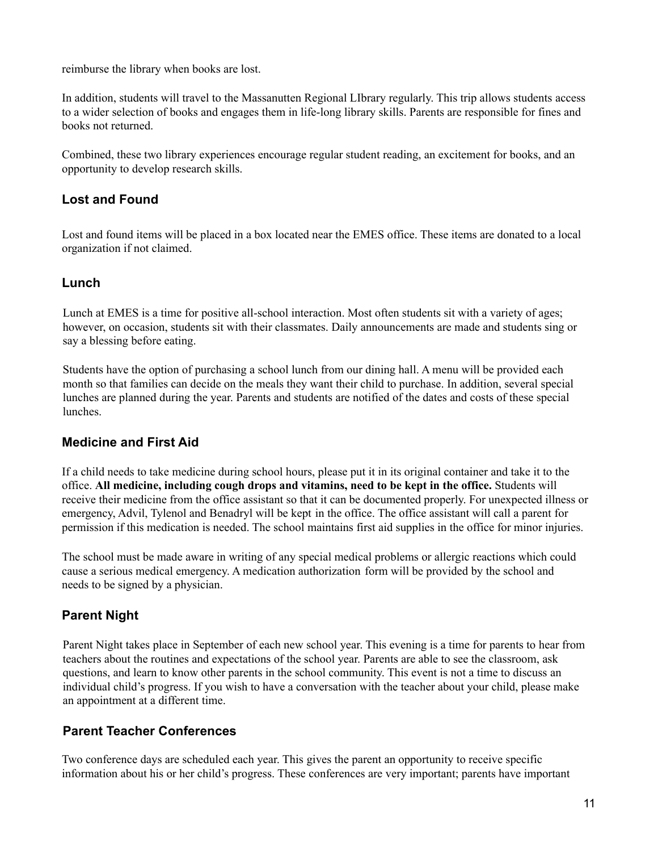reimburse the library when books are lost.

In addition, students will travel to the Massanutten Regional LIbrary regularly. This trip allows students access to a wider selection of books and engages them in life-long library skills. Parents are responsible for fines and books not returned.

Combined, these two library experiences encourage regular student reading, an excitement for books, and an opportunity to develop research skills.

## <span id="page-10-0"></span>**Lost and Found**

Lost and found items will be placed in a box located near the EMES office. These items are donated to a local organization if not claimed.

#### <span id="page-10-1"></span>**Lunch**

Lunch at EMES is a time for positive all-school interaction. Most often students sit with a variety of ages; however, on occasion, students sit with their classmates. Daily announcements are made and students sing or say a blessing before eating.

Students have the option of purchasing a school lunch from our dining hall. A menu will be provided each month so that families can decide on the meals they want their child to purchase. In addition, several special lunches are planned during the year. Parents and students are notified of the dates and costs of these special lunches.

#### <span id="page-10-2"></span>**Medicine and First Aid**

If a child needs to take medicine during school hours, please put it in its original container and take it to the office. **All medicine, including cough drops and vitamins, need to be kept in the office.** Students will receive their medicine from the office assistant so that it can be documented properly. For unexpected illness or emergency, Advil, Tylenol and Benadryl will be kept in the office. The office assistant will call a parent for permission if this medication is needed. The school maintains first aid supplies in the office for minor injuries.

The school must be made aware in writing of any special medical problems or allergic reactions which could cause a serious medical emergency. A medication authorization form will be provided by the school and needs to be signed by a physician.

## <span id="page-10-3"></span>**Parent Night**

Parent Night takes place in September of each new school year. This evening is a time for parents to hear from teachers about the routines and expectations of the school year. Parents are able to see the classroom, ask questions, and learn to know other parents in the school community. This event is not a time to discuss an individual child's progress. If you wish to have a conversation with the teacher about your child, please make an appointment at a different time.

## <span id="page-10-4"></span>**Parent Teacher Conferences**

Two conference days are scheduled each year. This gives the parent an opportunity to receive specific information about his or her child's progress. These conferences are very important; parents have important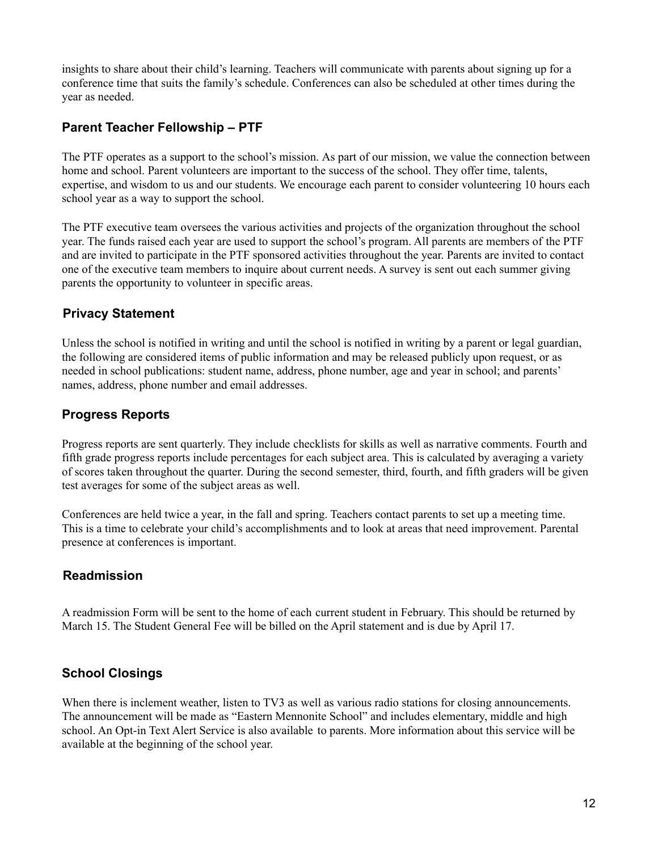insights to share about their child's learning. Teachers will communicate with parents about signing up for a conference time that suits the family's schedule. Conferences can also be scheduled at other times during the year as needed.

## <span id="page-11-0"></span>**Parent Teacher Fellowship – PTF**

The PTF operates as a support to the school's mission. As part of our mission, we value the connection between home and school. Parent volunteers are important to the success of the school. They offer time, talents, expertise, and wisdom to us and our students. We encourage each parent to consider volunteering 10 hours each school year as a way to support the school.

The PTF executive team oversees the various activities and projects of the organization throughout the school year. The funds raised each year are used to support the school's program. All parents are members of the PTF and are invited to participate in the PTF sponsored activities throughout the year. Parents are invited to contact one of the executive team members to inquire about current needs. A survey is sent out each summer giving parents the opportunity to volunteer in specific areas.

## <span id="page-11-1"></span>**Privacy Statement**

Unless the school is notified in writing and until the school is notified in writing by a parent or legal guardian, the following are considered items of public information and may be released publicly upon request, or as needed in school publications: student name, address, phone number, age and year in school; and parents' names, address, phone number and email addresses.

## <span id="page-11-2"></span>**Progress Reports**

Progress reports are sent quarterly. They include checklists for skills as well as narrative comments. Fourth and fifth grade progress reports include percentages for each subject area. This is calculated by averaging a variety of scores taken throughout the quarter. During the second semester, third, fourth, and fifth graders will be given test averages for some of the subject areas as well.

Conferences are held twice a year, in the fall and spring. Teachers contact parents to set up a meeting time. This is a time to celebrate your child's accomplishments and to look at areas that need improvement. Parental presence at conferences is important.

## <span id="page-11-3"></span>**Readmission**

A readmission Form will be sent to the home of each current student in February. This should be returned by March 15. The Student General Fee will be billed on the April statement and is due by April 17.

## <span id="page-11-4"></span>**School Closings**

When there is inclement weather, listen to TV3 as well as various radio stations for closing announcements. The announcement will be made as "Eastern Mennonite School" and includes elementary, middle and high school. An Opt-in Text Alert Service is also available to parents. More information about this service will be available at the beginning of the school year.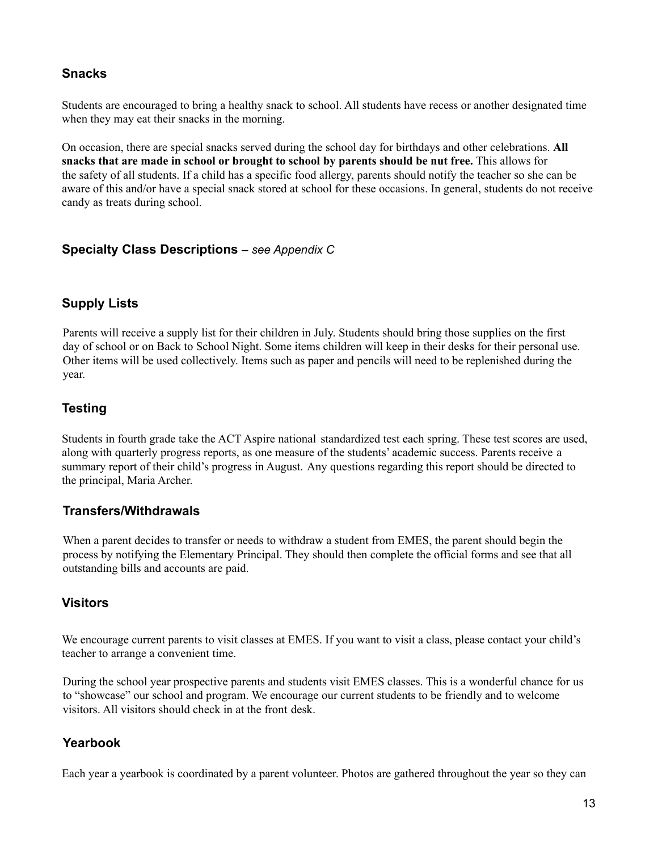#### <span id="page-12-0"></span>**Snacks**

Students are encouraged to bring a healthy snack to school. All students have recess or another designated time when they may eat their snacks in the morning.

On occasion, there are special snacks served during the school day for birthdays and other celebrations. **All snacks that are made in school or brought to school by parents should be nut free.** This allows for the safety of all students. If a child has a specific food allergy, parents should notify the teacher so she can be aware of this and/or have a special snack stored at school for these occasions. In general, students do not receive candy as treats during school.

#### <span id="page-12-1"></span>**Specialty Class Descriptions** *– see Appendix C*

## <span id="page-12-2"></span>**Supply Lists**

Parents will receive a supply list for their children in July. Students should bring those supplies on the first day of school or on Back to School Night. Some items children will keep in their desks for their personal use. Other items will be used collectively. Items such as paper and pencils will need to be replenished during the year.

## <span id="page-12-3"></span>**Testing**

Students in fourth grade take the ACT Aspire national standardized test each spring. These test scores are used, along with quarterly progress reports, as one measure of the students' academic success. Parents receive a summary report of their child's progress in August. Any questions regarding this report should be directed to the principal, Maria Archer.

#### <span id="page-12-4"></span>**Transfers/Withdrawals**

When a parent decides to transfer or needs to withdraw a student from EMES, the parent should begin the process by notifying the Elementary Principal. They should then complete the official forms and see that all outstanding bills and accounts are paid.

#### <span id="page-12-5"></span>**Visitors**

We encourage current parents to visit classes at EMES. If you want to visit a class, please contact your child's teacher to arrange a convenient time.

During the school year prospective parents and students visit EMES classes. This is a wonderful chance for us to "showcase" our school and program. We encourage our current students to be friendly and to welcome visitors. All visitors should check in at the front desk.

## <span id="page-12-6"></span>**Yearbook**

Each year a yearbook is coordinated by a parent volunteer. Photos are gathered throughout the year so they can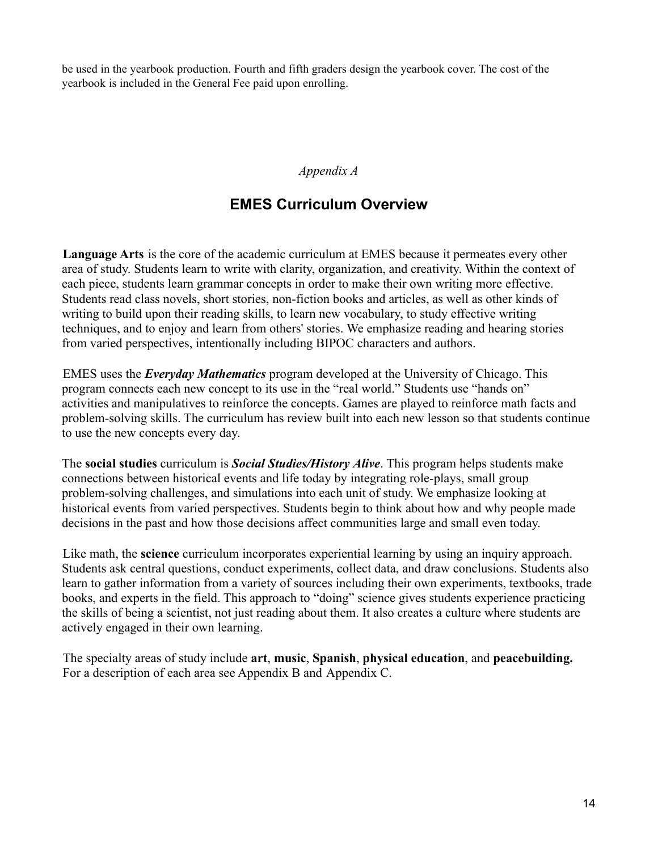be used in the yearbook production. Fourth and fifth graders design the yearbook cover. The cost of the yearbook is included in the General Fee paid upon enrolling.

#### *Appendix A*

# **EMES Curriculum Overview**

<span id="page-13-0"></span>**Language Arts** is the core of the academic curriculum at EMES because it permeates every other area of study. Students learn to write with clarity, organization, and creativity. Within the context of each piece, students learn grammar concepts in order to make their own writing more effective. Students read class novels, short stories, non-fiction books and articles, as well as other kinds of writing to build upon their reading skills, to learn new vocabulary, to study effective writing techniques, and to enjoy and learn from others' stories. We emphasize reading and hearing stories from varied perspectives, intentionally including BIPOC characters and authors.

EMES uses the *Everyday Mathematics* program developed at the University of Chicago. This program connects each new concept to its use in the "real world." Students use "hands on" activities and manipulatives to reinforce the concepts. Games are played to reinforce math facts and problem-solving skills. The curriculum has review built into each new lesson so that students continue to use the new concepts every day.

The **social studies** curriculum is *Social Studies/History Alive*. This program helps students make connections between historical events and life today by integrating role-plays, small group problem-solving challenges, and simulations into each unit of study. We emphasize looking at historical events from varied perspectives. Students begin to think about how and why people made decisions in the past and how those decisions affect communities large and small even today.

Like math, the **science** curriculum incorporates experiential learning by using an inquiry approach. Students ask central questions, conduct experiments, collect data, and draw conclusions. Students also learn to gather information from a variety of sources including their own experiments, textbooks, trade books, and experts in the field. This approach to "doing" science gives students experience practicing the skills of being a scientist, not just reading about them. It also creates a culture where students are actively engaged in their own learning.

The specialty areas of study include **art**, **music**, **Spanish**, **physical education**, and **peacebuilding.** For a description of each area see Appendix B and Appendix C.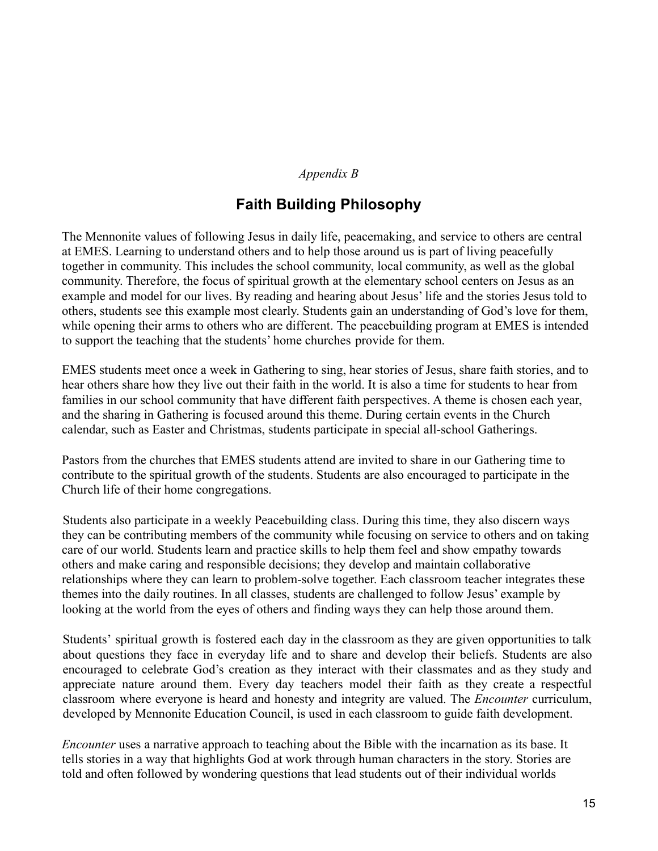#### *Appendix B*

## **Faith Building Philosophy**

<span id="page-14-0"></span>The Mennonite values of following Jesus in daily life, peacemaking, and service to others are central at EMES. Learning to understand others and to help those around us is part of living peacefully together in community. This includes the school community, local community, as well as the global community. Therefore, the focus of spiritual growth at the elementary school centers on Jesus as an example and model for our lives. By reading and hearing about Jesus' life and the stories Jesus told to others, students see this example most clearly. Students gain an understanding of God's love for them, while opening their arms to others who are different. The peacebuilding program at EMES is intended to support the teaching that the students' home churches provide for them.

EMES students meet once a week in Gathering to sing, hear stories of Jesus, share faith stories, and to hear others share how they live out their faith in the world. It is also a time for students to hear from families in our school community that have different faith perspectives. A theme is chosen each year, and the sharing in Gathering is focused around this theme. During certain events in the Church calendar, such as Easter and Christmas, students participate in special all-school Gatherings.

Pastors from the churches that EMES students attend are invited to share in our Gathering time to contribute to the spiritual growth of the students. Students are also encouraged to participate in the Church life of their home congregations.

Students also participate in a weekly Peacebuilding class. During this time, they also discern ways they can be contributing members of the community while focusing on service to others and on taking care of our world. Students learn and practice skills to help them feel and show empathy towards others and make caring and responsible decisions; they develop and maintain collaborative relationships where they can learn to problem-solve together. Each classroom teacher integrates these themes into the daily routines. In all classes, students are challenged to follow Jesus' example by looking at the world from the eyes of others and finding ways they can help those around them.

Students' spiritual growth is fostered each day in the classroom as they are given opportunities to talk about questions they face in everyday life and to share and develop their beliefs. Students are also encouraged to celebrate God's creation as they interact with their classmates and as they study and appreciate nature around them. Every day teachers model their faith as they create a respectful classroom where everyone is heard and honesty and integrity are valued. The *Encounter* curriculum, developed by Mennonite Education Council, is used in each classroom to guide faith development.

*Encounter* uses a narrative approach to teaching about the Bible with the incarnation as its base. It tells stories in a way that highlights God at work through human characters in the story. Stories are told and often followed by wondering questions that lead students out of their individual worlds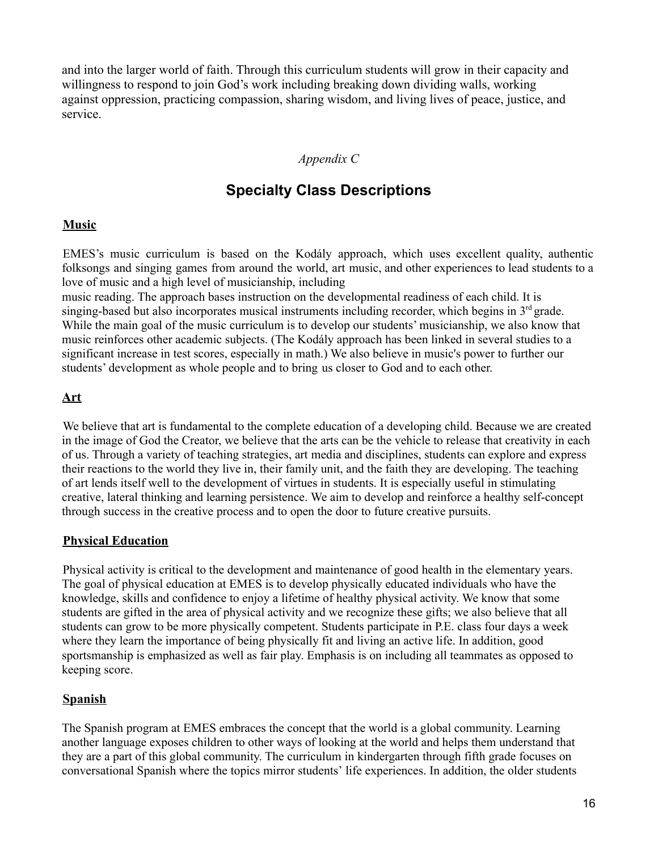and into the larger world of faith. Through this curriculum students will grow in their capacity and willingness to respond to join God's work including breaking down dividing walls, working against oppression, practicing compassion, sharing wisdom, and living lives of peace, justice, and service.

## *Appendix C*

# **Specialty Class Descriptions**

#### <span id="page-15-0"></span>**Music**

EMES's music curriculum is based on the Kodály approach, which uses excellent quality, authentic folksongs and singing games from around the world, art music, and other experiences to lead students to a love of music and a high level of musicianship, including

music reading. The approach bases instruction on the developmental readiness of each child. It is singing-based but also incorporates musical instruments including recorder, which begins in  $3<sup>rd</sup>$  grade. While the main goal of the music curriculum is to develop our students' musicianship, we also know that music reinforces other academic subjects. (The Kodály approach has been linked in several studies to a significant increase in test scores, especially in math.) We also believe in music's power to further our students' development as whole people and to bring us closer to God and to each other.

## **Art**

We believe that art is fundamental to the complete education of a developing child. Because we are created in the image of God the Creator, we believe that the arts can be the vehicle to release that creativity in each of us. Through a variety of teaching strategies, art media and disciplines, students can explore and express their reactions to the world they live in, their family unit, and the faith they are developing. The teaching of art lends itself well to the development of virtues in students. It is especially useful in stimulating creative, lateral thinking and learning persistence. We aim to develop and reinforce a healthy self-concept through success in the creative process and to open the door to future creative pursuits.

#### **Physical Education**

Physical activity is critical to the development and maintenance of good health in the elementary years. The goal of physical education at EMES is to develop physically educated individuals who have the knowledge, skills and confidence to enjoy a lifetime of healthy physical activity. We know that some students are gifted in the area of physical activity and we recognize these gifts; we also believe that all students can grow to be more physically competent. Students participate in P.E. class four days a week where they learn the importance of being physically fit and living an active life. In addition, good sportsmanship is emphasized as well as fair play. Emphasis is on including all teammates as opposed to keeping score.

## **Spanish**

The Spanish program at EMES embraces the concept that the world is a global community. Learning another language exposes children to other ways of looking at the world and helps them understand that they are a part of this global community. The curriculum in kindergarten through fifth grade focuses on conversational Spanish where the topics mirror students' life experiences. In addition, the older students